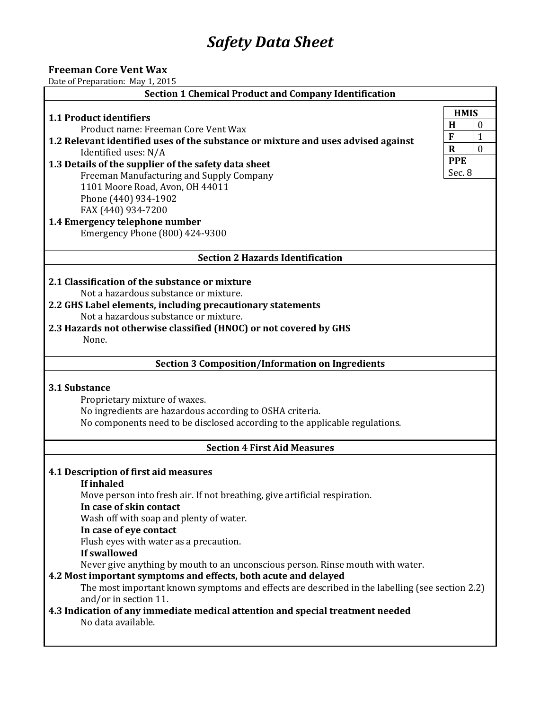# *Safety Data Sheet*

## **Freeman Core Vent Wax**

Date of Preparation: May 1, 2015

| <b>Section 1 Chemical Product and Company Identification</b>                                        |                              |  |  |
|-----------------------------------------------------------------------------------------------------|------------------------------|--|--|
|                                                                                                     | <b>HMIS</b>                  |  |  |
| 1.1 Product identifiers<br>Product name: Freeman Core Vent Wax                                      | H<br>$\boldsymbol{0}$        |  |  |
| 1.2 Relevant identified uses of the substance or mixture and uses advised against                   | $\mathbf{F}$<br>$\mathbf{1}$ |  |  |
| Identified uses: N/A                                                                                | $\mathbf{0}$<br>$\mathbf R$  |  |  |
| 1.3 Details of the supplier of the safety data sheet                                                | <b>PPE</b>                   |  |  |
| Freeman Manufacturing and Supply Company                                                            | Sec. 8                       |  |  |
| 1101 Moore Road, Avon, OH 44011                                                                     |                              |  |  |
| Phone (440) 934-1902<br>FAX (440) 934-7200                                                          |                              |  |  |
| 1.4 Emergency telephone number                                                                      |                              |  |  |
| Emergency Phone (800) 424-9300                                                                      |                              |  |  |
| <b>Section 2 Hazards Identification</b>                                                             |                              |  |  |
|                                                                                                     |                              |  |  |
| 2.1 Classification of the substance or mixture                                                      |                              |  |  |
| Not a hazardous substance or mixture.<br>2.2 GHS Label elements, including precautionary statements |                              |  |  |
| Not a hazardous substance or mixture.                                                               |                              |  |  |
| 2.3 Hazards not otherwise classified (HNOC) or not covered by GHS                                   |                              |  |  |
| None.                                                                                               |                              |  |  |
|                                                                                                     |                              |  |  |
| <b>Section 3 Composition/Information on Ingredients</b>                                             |                              |  |  |
| 3.1 Substance                                                                                       |                              |  |  |
| Proprietary mixture of waxes.                                                                       |                              |  |  |
| No ingredients are hazardous according to OSHA criteria.                                            |                              |  |  |
| No components need to be disclosed according to the applicable regulations.                         |                              |  |  |
| <b>Section 4 First Aid Measures</b>                                                                 |                              |  |  |
| 4.1 Description of first aid measures                                                               |                              |  |  |
| <b>If inhaled</b>                                                                                   |                              |  |  |
| Move person into fresh air. If not breathing, give artificial respiration.                          |                              |  |  |
| In case of skin contact                                                                             |                              |  |  |
| Wash off with soap and plenty of water.                                                             |                              |  |  |
| In case of eye contact                                                                              |                              |  |  |
| Flush eyes with water as a precaution.<br>If swallowed                                              |                              |  |  |
| Never give anything by mouth to an unconscious person. Rinse mouth with water.                      |                              |  |  |
| 4.2 Most important symptoms and effects, both acute and delayed                                     |                              |  |  |
| The most important known symptoms and effects are described in the labelling (see section 2.2)      |                              |  |  |
| and/or in section 11.                                                                               |                              |  |  |
| 4.3 Indication of any immediate medical attention and special treatment needed                      |                              |  |  |
| No data available.                                                                                  |                              |  |  |
|                                                                                                     |                              |  |  |
|                                                                                                     |                              |  |  |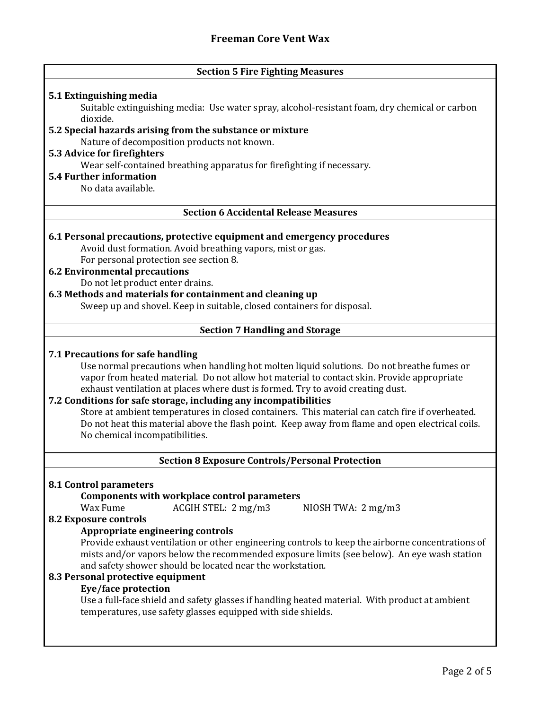## **Section 5 Fire Fighting Measures**

## **5.1 Extinguishing media**

Suitable extinguishing media: Use water spray, alcohol-resistant foam, dry chemical or carbon dioxide.

## **5.2 Special hazards arising from the substance or mixture**

Nature of decomposition products not known.

#### **5.3 Advice for firefighters**

Wear self-contained breathing apparatus for firefighting if necessary.

## **5.4 Further information**

No data available.

## **Section 6 Accidental Release Measures**

#### **6.1 Personal precautions, protective equipment and emergency procedures**

Avoid dust formation. Avoid breathing vapors, mist or gas. For personal protection see section 8.

## **6.2 Environmental precautions**

Do not let product enter drains.

## **6.3 Methods and materials for containment and cleaning up**

Sweep up and shovel. Keep in suitable, closed containers for disposal.

## **Section 7 Handling and Storage**

#### **7.1 Precautions for safe handling**

Use normal precautions when handling hot molten liquid solutions. Do not breathe fumes or vapor from heated material. Do not allow hot material to contact skin. Provide appropriate exhaust ventilation at places where dust is formed. Try to avoid creating dust.

## **7.2 Conditions for safe storage, including any incompatibilities**

Store at ambient temperatures in closed containers. This material can catch fire if overheated. Do not heat this material above the flash point. Keep away from flame and open electrical coils. No chemical incompatibilities.

## **Section 8 Exposure Controls/Personal Protection**

#### **8.1 Control parameters**

## **Components with workplace control parameters**

Wax Fume ACGIH STEL: 2 mg/m3 NIOSH TWA: 2 mg/m3

## **8.2 Exposure controls**

## **Appropriate engineering controls**

Provide exhaust ventilation or other engineering controls to keep the airborne concentrations of mists and/or vapors below the recommended exposure limits (see below). An eye wash station and safety shower should be located near the workstation.

## **8.3 Personal protective equipment**

## **Eye/face protection**

Use a full-face shield and safety glasses if handling heated material. With product at ambient temperatures, use safety glasses equipped with side shields.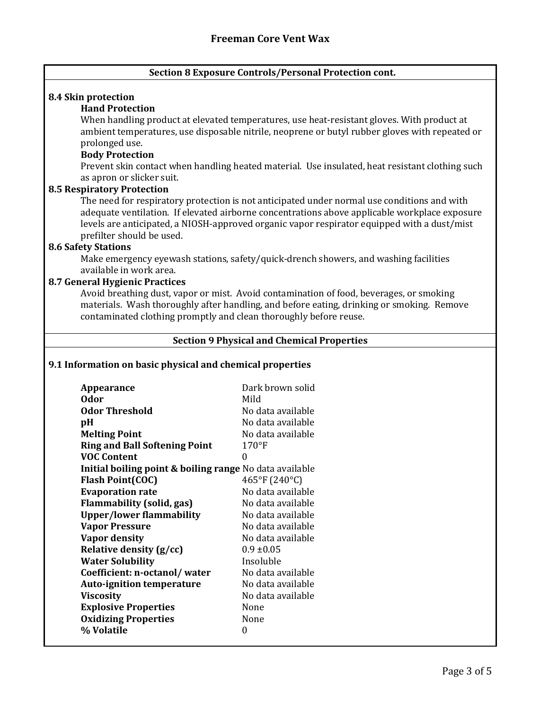## **Section 8 Exposure Controls/Personal Protection cont.**

#### **8.4 Skin protection**

## **Hand Protection**

When handling product at elevated temperatures, use heat-resistant gloves. With product at ambient temperatures, use disposable nitrile, neoprene or butyl rubber gloves with repeated or prolonged use.

#### **Body Protection**

Prevent skin contact when handling heated material. Use insulated, heat resistant clothing such as apron or slicker suit.

#### **8.5 Respiratory Protection**

The need for respiratory protection is not anticipated under normal use conditions and with adequate ventilation. If elevated airborne concentrations above applicable workplace exposure levels are anticipated, a NIOSH-approved organic vapor respirator equipped with a dust/mist prefilter should be used.

### **8.6 Safety Stations**

Make emergency eyewash stations, safety/quick-drench showers, and washing facilities available in work area.

### **8.7 General Hygienic Practices**

Avoid breathing dust, vapor or mist. Avoid contamination of food, beverages, or smoking materials. Wash thoroughly after handling, and before eating, drinking or smoking. Remove contaminated clothing promptly and clean thoroughly before reuse.

#### **Section 9 Physical and Chemical Properties**

## **9.1 Information on basic physical and chemical properties**

| Appearance                                                         | Dark brown solid  |
|--------------------------------------------------------------------|-------------------|
| 0dor                                                               | Mild              |
| <b>Odor Threshold</b>                                              | No data available |
| pH                                                                 | No data available |
| <b>Melting Point</b>                                               | No data available |
| <b>Ring and Ball Softening Point</b>                               | 170°F             |
| <b>VOC Content</b>                                                 | 0                 |
| <b>Initial boiling point &amp; boiling range</b> No data available |                   |
| <b>Flash Point(COC)</b>                                            | 465°F (240°C)     |
| <b>Evaporation rate</b>                                            | No data available |
| <b>Flammability (solid, gas)</b>                                   | No data available |
| <b>Upper/lower flammability</b>                                    | No data available |
| <b>Vapor Pressure</b>                                              | No data available |
| Vapor density                                                      | No data available |
| Relative density (g/cc)                                            | $0.9 \pm 0.05$    |
| <b>Water Solubility</b>                                            | Insoluble         |
| Coefficient: n-octanol/water                                       | No data available |
| <b>Auto-ignition temperature</b>                                   | No data available |
| <b>Viscosity</b>                                                   | No data available |
| <b>Explosive Properties</b>                                        | None              |
| <b>Oxidizing Properties</b>                                        | None              |
| % Volatile                                                         | 0                 |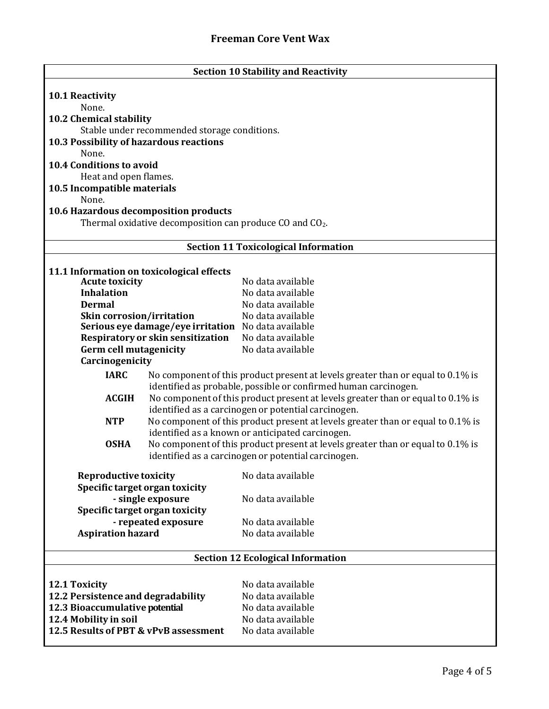| <b>Section 10 Stability and Reactivity</b>                           |                                                                                                                                     |  |
|----------------------------------------------------------------------|-------------------------------------------------------------------------------------------------------------------------------------|--|
|                                                                      |                                                                                                                                     |  |
| <b>10.1 Reactivity</b><br>None.                                      |                                                                                                                                     |  |
| 10.2 Chemical stability                                              |                                                                                                                                     |  |
| Stable under recommended storage conditions.                         |                                                                                                                                     |  |
| 10.3 Possibility of hazardous reactions                              |                                                                                                                                     |  |
| None.                                                                |                                                                                                                                     |  |
| <b>10.4 Conditions to avoid</b>                                      |                                                                                                                                     |  |
| Heat and open flames.                                                |                                                                                                                                     |  |
| 10.5 Incompatible materials                                          |                                                                                                                                     |  |
| None.                                                                |                                                                                                                                     |  |
| 10.6 Hazardous decomposition products                                |                                                                                                                                     |  |
| Thermal oxidative decomposition can produce CO and CO <sub>2</sub> . |                                                                                                                                     |  |
|                                                                      |                                                                                                                                     |  |
| <b>Section 11 Toxicological Information</b>                          |                                                                                                                                     |  |
| 11.1 Information on toxicological effects                            |                                                                                                                                     |  |
| <b>Acute toxicity</b>                                                | No data available                                                                                                                   |  |
| <b>Inhalation</b>                                                    | No data available                                                                                                                   |  |
| <b>Dermal</b>                                                        | No data available                                                                                                                   |  |
| Skin corrosion/irritation                                            | No data available                                                                                                                   |  |
| Serious eye damage/eye irritation No data available                  |                                                                                                                                     |  |
| Respiratory or skin sensitization                                    | No data available                                                                                                                   |  |
| <b>Germ cell mutagenicity</b>                                        | No data available                                                                                                                   |  |
| Carcinogenicity                                                      |                                                                                                                                     |  |
| <b>IARC</b>                                                          | No component of this product present at levels greater than or equal to 0.1% is                                                     |  |
|                                                                      | identified as probable, possible or confirmed human carcinogen.                                                                     |  |
| <b>ACGIH</b>                                                         | No component of this product present at levels greater than or equal to 0.1% is                                                     |  |
|                                                                      | identified as a carcinogen or potential carcinogen.                                                                                 |  |
| <b>NTP</b>                                                           | No component of this product present at levels greater than or equal to 0.1% is<br>identified as a known or anticipated carcinogen. |  |
| <b>OSHA</b>                                                          | No component of this product present at levels greater than or equal to 0.1% is                                                     |  |
|                                                                      | identified as a carcinogen or potential carcinogen.                                                                                 |  |
|                                                                      |                                                                                                                                     |  |
| <b>Reproductive toxicity</b>                                         | No data available                                                                                                                   |  |
| Specific target organ toxicity                                       |                                                                                                                                     |  |
| - single exposure                                                    | No data available                                                                                                                   |  |
| Specific target organ toxicity                                       | No data available                                                                                                                   |  |
| - repeated exposure<br><b>Aspiration hazard</b>                      | No data available                                                                                                                   |  |
|                                                                      |                                                                                                                                     |  |
| <b>Section 12 Ecological Information</b>                             |                                                                                                                                     |  |
|                                                                      |                                                                                                                                     |  |
| 12.1 Toxicity                                                        | No data available                                                                                                                   |  |
| 12.2 Persistence and degradability                                   | No data available                                                                                                                   |  |
| 12.3 Bioaccumulative potential                                       | No data available                                                                                                                   |  |
| 12.4 Mobility in soil                                                | No data available                                                                                                                   |  |
| 12.5 Results of PBT & vPvB assessment                                | No data available                                                                                                                   |  |